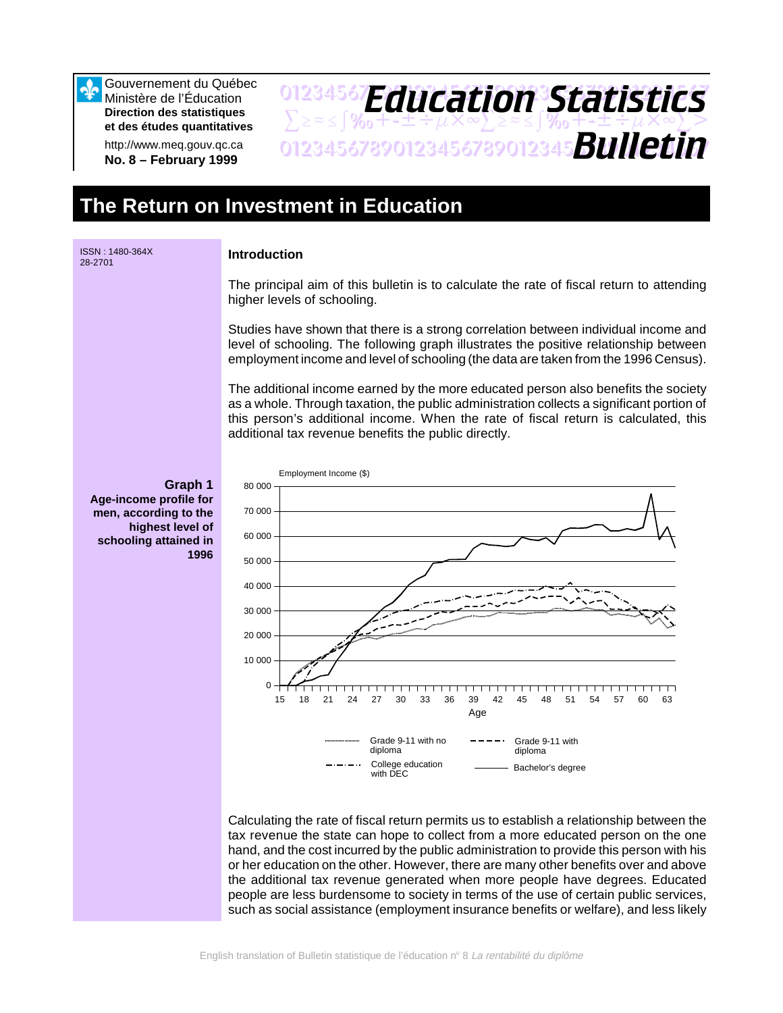Gouvernement du Québec Ministère de l'Éducation **Direction des statistiques et des études quantitatives**

http://www.meq.gouv.qc.ca **No. 8 – February 1999**

## 01234567**F***Anri Stion Statictice*  $\sum z \approx \int \mathcal{X}_0 + \pm \pm \div \mu \times \infty$  $\sum z \approx \pm \int \mathcal{X}_0 + \pm \pm \div \mu \times \infty$  $\sum >$ 01234567890123456789012345678901234567 *Bulletin Education Statistics*

# **The Return on Investment in Education**



#### **Introduction**

The principal aim of this bulletin is to calculate the rate of fiscal return to attending higher levels of schooling.

Studies have shown that there is a strong correlation between individual income and level of schooling. The following graph illustrates the positive relationship between employment income and level of schooling (the data are taken from the 1996 Census).

The additional income earned by the more educated person also benefits the society as a whole. Through taxation, the public administration collects a significant portion of this person's additional income. When the rate of fiscal return is calculated, this additional tax revenue benefits the public directly.



Calculating the rate of fiscal return permits us to establish a relationship between the tax revenue the state can hope to collect from a more educated person on the one hand, and the cost incurred by the public administration to provide this person with his or her education on the other. However, there are many other benefits over and above the additional tax revenue generated when more people have degrees. Educated people are less burdensome to society in terms of the use of certain public services, such as social assistance (employment insurance benefits or welfare), and less likely

**Graph 1 Age-income profile for men, according to the highest level of schooling attained in 1996**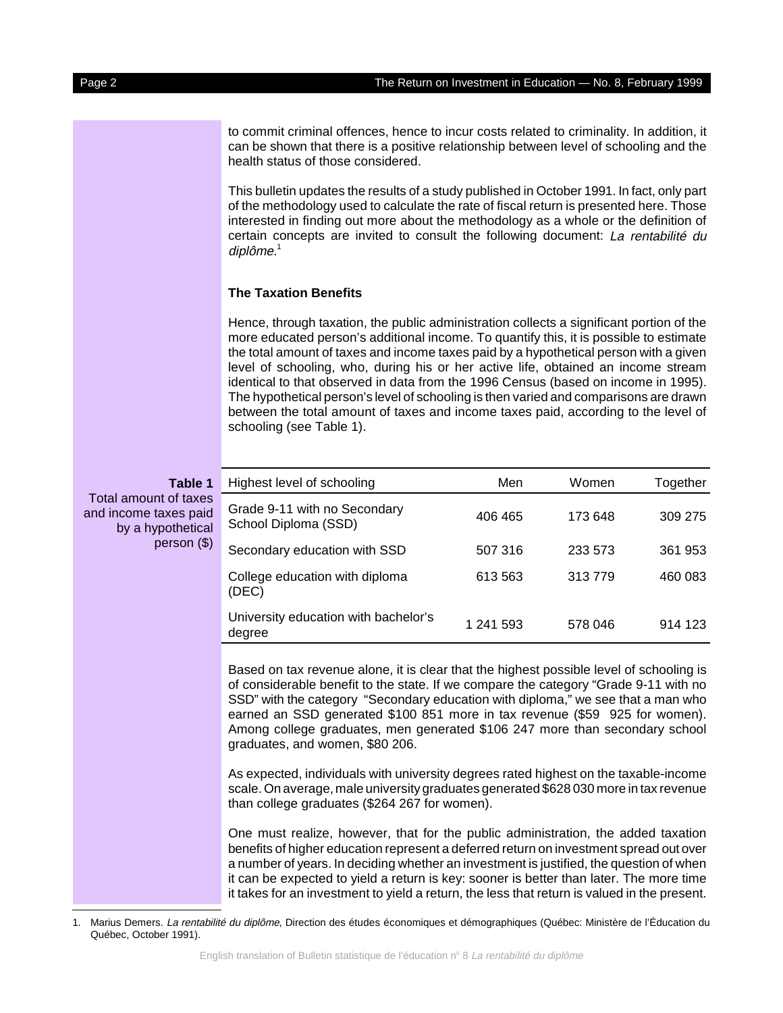to commit criminal offences, hence to incur costs related to criminality. In addition, it can be shown that there is a positive relationship between level of schooling and the health status of those considered.

This bulletin updates the results of a study published in October 1991. In fact, only part of the methodology used to calculate the rate of fiscal return is presented here. Those interested in finding out more about the methodology as a whole or the definition of certain concepts are invited to consult the following document: La rentabilité du diplôme.<sup>1</sup>

#### **The Taxation Benefits**

Hence, through taxation, the public administration collects a significant portion of the more educated person's additional income. To quantify this, it is possible to estimate the total amount of taxes and income taxes paid by a hypothetical person with a given level of schooling, who, during his or her active life, obtained an income stream identical to that observed in data from the 1996 Census (based on income in 1995). The hypothetical person's level of schooling is then varied and comparisons are drawn between the total amount of taxes and income taxes paid, according to the level of schooling (see Table 1).

| Table 1<br>Total amount of taxes<br>and income taxes paid<br>by a hypothetical<br>person $($ \$) | Highest level of schooling                           | Men       | Women   | Together |
|--------------------------------------------------------------------------------------------------|------------------------------------------------------|-----------|---------|----------|
|                                                                                                  | Grade 9-11 with no Secondary<br>School Diploma (SSD) | 406 465   | 173 648 | 309 275  |
|                                                                                                  | Secondary education with SSD                         | 507 316   | 233 573 | 361 953  |
|                                                                                                  | College education with diploma<br>(DEC)              | 613 563   | 313779  | 460 083  |
|                                                                                                  | University education with bachelor's<br>degree       | 1 241 593 | 578 046 | 914 123  |

Based on tax revenue alone, it is clear that the highest possible level of schooling is of considerable benefit to the state. If we compare the category "Grade 9-11 with no SSD" with the category "Secondary education with diploma," we see that a man who earned an SSD generated \$100 851 more in tax revenue (\$59 925 for women). Among college graduates, men generated \$106 247 more than secondary school graduates, and women, \$80 206.

As expected, individuals with university degrees rated highest on the taxable-income scale. On average, male university graduates generated \$628 030 more in tax revenue than college graduates (\$264 267 for women).

One must realize, however, that for the public administration, the added taxation benefits of higher education represent a deferred return on investment spread out over a number of years. In deciding whether an investment is justified, the question of when it can be expected to yield a return is key: sooner is better than later. The more time it takes for an investment to yield a return, the less that return is valued in the present.

<sup>1.</sup> Marius Demers. La rentabilité du diplôme, Direction des études économiques et démographiques (Québec: Ministère de l'Éducation du Québec, October 1991).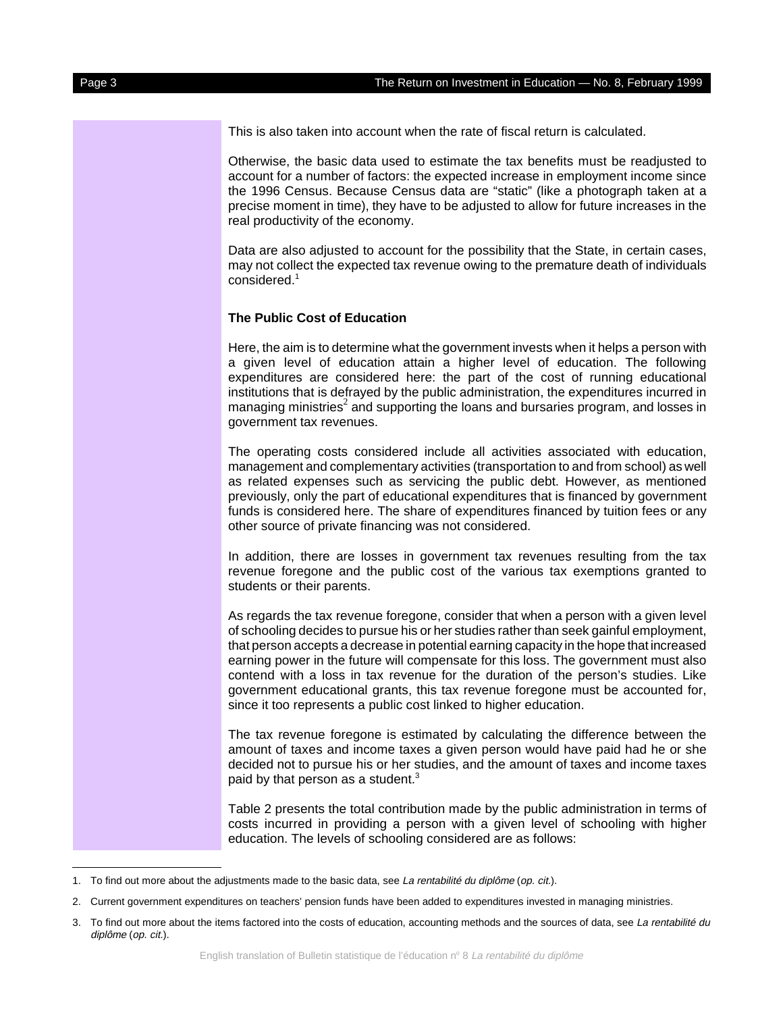This is also taken into account when the rate of fiscal return is calculated.

Otherwise, the basic data used to estimate the tax benefits must be readjusted to account for a number of factors: the expected increase in employment income since the 1996 Census. Because Census data are "static" (like a photograph taken at a precise moment in time), they have to be adjusted to allow for future increases in the real productivity of the economy.

Data are also adjusted to account for the possibility that the State, in certain cases, may not collect the expected tax revenue owing to the premature death of individuals considered.<sup>1</sup>

#### **The Public Cost of Education**

Here, the aim is to determine what the government invests when it helps a person with a given level of education attain a higher level of education. The following expenditures are considered here: the part of the cost of running educational institutions that is defrayed by the public administration, the expenditures incurred in managing ministries<sup>2</sup> and supporting the loans and bursaries program, and losses in government tax revenues.

The operating costs considered include all activities associated with education, management and complementary activities (transportation to and from school) as well as related expenses such as servicing the public debt. However, as mentioned previously, only the part of educational expenditures that is financed by government funds is considered here. The share of expenditures financed by tuition fees or any other source of private financing was not considered.

In addition, there are losses in government tax revenues resulting from the tax revenue foregone and the public cost of the various tax exemptions granted to students or their parents.

As regards the tax revenue foregone, consider that when a person with a given level of schooling decides to pursue his or her studies rather than seek gainful employment, that person accepts a decrease in potential earning capacity in the hope that increased earning power in the future will compensate for this loss. The government must also contend with a loss in tax revenue for the duration of the person's studies. Like government educational grants, this tax revenue foregone must be accounted for, since it too represents a public cost linked to higher education.

The tax revenue foregone is estimated by calculating the difference between the amount of taxes and income taxes a given person would have paid had he or she decided not to pursue his or her studies, and the amount of taxes and income taxes paid by that person as a student.<sup>3</sup>

Table 2 presents the total contribution made by the public administration in terms of costs incurred in providing a person with a given level of schooling with higher education. The levels of schooling considered are as follows:

<sup>1.</sup> To find out more about the adjustments made to the basic data, see La rentabilité du diplôme (op. cit.).

<sup>2.</sup> Current government expenditures on teachers' pension funds have been added to expenditures invested in managing ministries.

<sup>3.</sup> To find out more about the items factored into the costs of education, accounting methods and the sources of data, see La rentabilité du diplôme (op. cit.).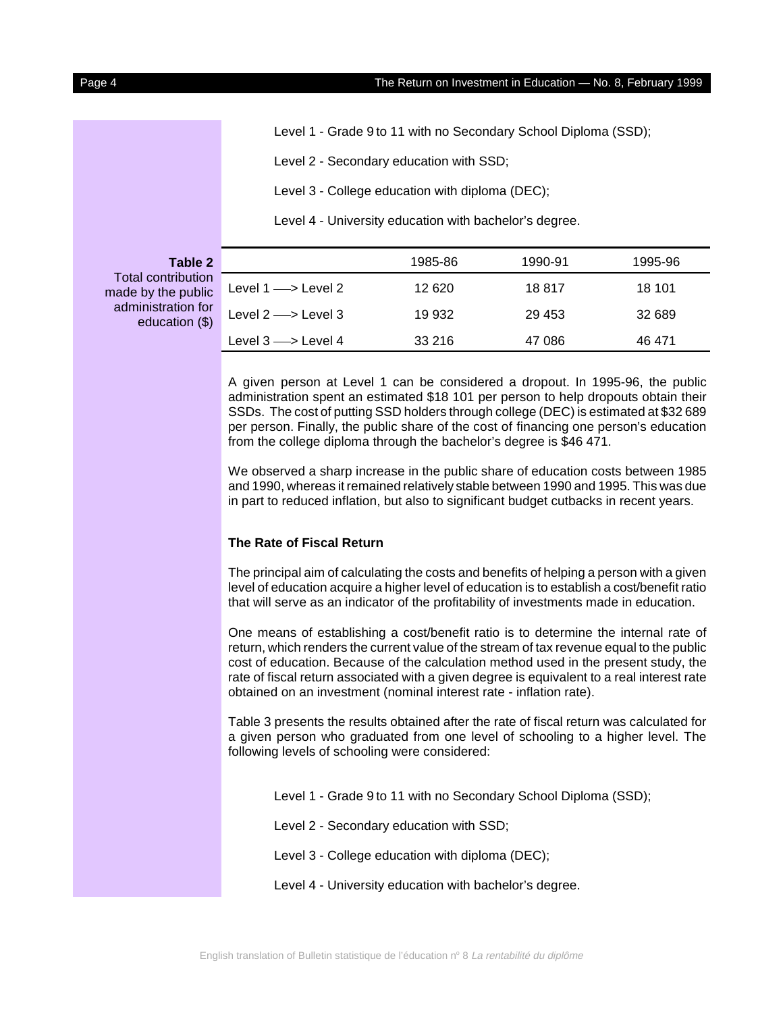Level 1 - Grade 9 to 11 with no Secondary School Diploma (SSD);

Level 2 - Secondary education with SSD;

Level 3 - College education with diploma (DEC);

Level 4 - University education with bachelor's degree.

**Table 2** Total contribution made by the public administration for education (\$)

|                                   | Loven Prinverbity education with pacholor o acqueol. |         |         |
|-----------------------------------|------------------------------------------------------|---------|---------|
|                                   | 1985-86                                              | 1990-91 | 1995-96 |
| Level $1 \longrightarrow$ Level 2 | 12 6 20                                              | 18817   | 18 101  |
| Level $2 \longrightarrow$ Level 3 | 19 932                                               | 29 453  | 32 689  |
| Level $3 \longrightarrow$ Level 4 | 33 216                                               | 47 086  | 46 471  |

A given person at Level 1 can be considered a dropout. In 1995-96, the public administration spent an estimated \$18 101 per person to help dropouts obtain their SSDs. The cost of putting SSD holders through college (DEC) is estimated at \$32 689 per person. Finally, the public share of the cost of financing one person's education from the college diploma through the bachelor's degree is \$46 471.

We observed a sharp increase in the public share of education costs between 1985 and 1990, whereas it remained relatively stable between 1990 and 1995. This was due in part to reduced inflation, but also to significant budget cutbacks in recent years.

## **The Rate of Fiscal Return**

The principal aim of calculating the costs and benefits of helping a person with a given level of education acquire a higher level of education is to establish a cost/benefit ratio that will serve as an indicator of the profitability of investments made in education.

One means of establishing a cost/benefit ratio is to determine the internal rate of return, which renders the current value of the stream of tax revenue equal to the public cost of education. Because of the calculation method used in the present study, the rate of fiscal return associated with a given degree is equivalent to a real interest rate obtained on an investment (nominal interest rate - inflation rate).

Table 3 presents the results obtained after the rate of fiscal return was calculated for a given person who graduated from one level of schooling to a higher level. The following levels of schooling were considered:

Level 1 - Grade 9 to 11 with no Secondary School Diploma (SSD);

Level 2 - Secondary education with SSD;

Level 3 - College education with diploma (DEC);

Level 4 - University education with bachelor's degree.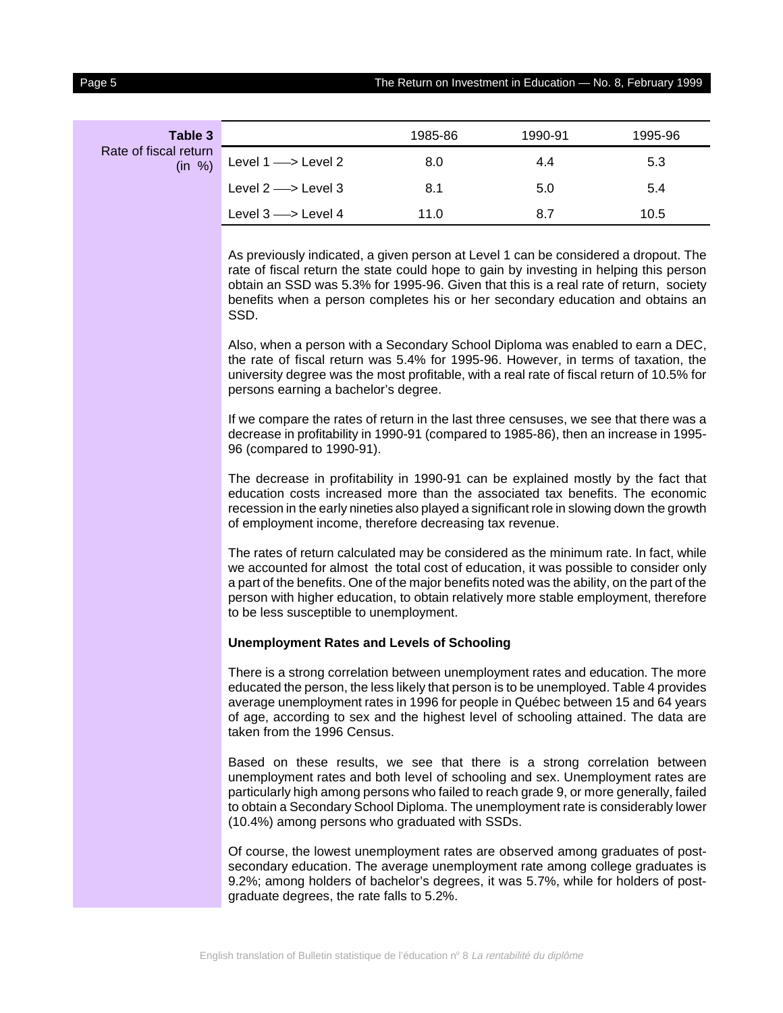| Table 3                         |                                   | 1985-86 | 1990-91 | 1995-96 |
|---------------------------------|-----------------------------------|---------|---------|---------|
| Rate of fiscal return<br>(in %) | Level $1 \longrightarrow$ Level 2 | 8.0     | 4.4     | 5.3     |
|                                 | Level $2 \longrightarrow$ Level 3 | 8.1     | 5.0     | 5.4     |
|                                 | Level $3 \longrightarrow$ Level 4 | 11.0    | 8.7     | 10.5    |

As previously indicated, a given person at Level 1 can be considered a dropout. The rate of fiscal return the state could hope to gain by investing in helping this person obtain an SSD was 5.3% for 1995-96. Given that this is a real rate of return, society benefits when a person completes his or her secondary education and obtains an SSD.

Also, when a person with a Secondary School Diploma was enabled to earn a DEC, the rate of fiscal return was 5.4% for 1995-96. However, in terms of taxation, the university degree was the most profitable, with a real rate of fiscal return of 10.5% for persons earning a bachelor's degree.

If we compare the rates of return in the last three censuses, we see that there was a decrease in profitability in 1990-91 (compared to 1985-86), then an increase in 1995- 96 (compared to 1990-91).

The decrease in profitability in 1990-91 can be explained mostly by the fact that education costs increased more than the associated tax benefits. The economic recession in the early nineties also played a significant role in slowing down the growth of employment income, therefore decreasing tax revenue.

The rates of return calculated may be considered as the minimum rate. In fact, while we accounted for almost the total cost of education, it was possible to consider only a part of the benefits. One of the major benefits noted was the ability, on the part of the person with higher education, to obtain relatively more stable employment, therefore to be less susceptible to unemployment.

#### **Unemployment Rates and Levels of Schooling**

There is a strong correlation between unemployment rates and education. The more educated the person, the less likely that person is to be unemployed. Table 4 provides average unemployment rates in 1996 for people in Québec between 15 and 64 years of age, according to sex and the highest level of schooling attained. The data are taken from the 1996 Census.

Based on these results, we see that there is a strong correlation between unemployment rates and both level of schooling and sex. Unemployment rates are particularly high among persons who failed to reach grade 9, or more generally, failed to obtain a Secondary School Diploma. The unemployment rate is considerably lower (10.4%) among persons who graduated with SSDs.

Of course, the lowest unemployment rates are observed among graduates of postsecondary education. The average unemployment rate among college graduates is 9.2%; among holders of bachelor's degrees, it was 5.7%, while for holders of postgraduate degrees, the rate falls to 5.2%.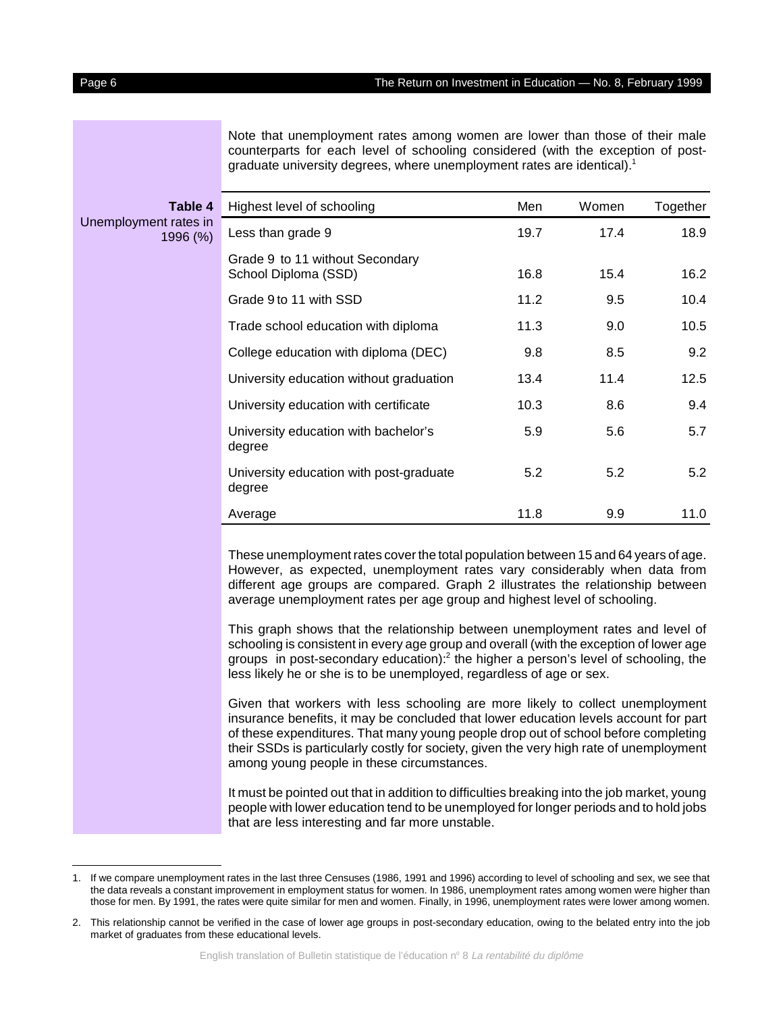Note that unemployment rates among women are lower than those of their male counterparts for each level of schooling considered (with the exception of postgraduate university degrees, where unemployment rates are identical).<sup>1</sup>

| Table 4                           | Highest level of schooling                              | Men  | Women | Together |
|-----------------------------------|---------------------------------------------------------|------|-------|----------|
| Unemployment rates in<br>1996 (%) | Less than grade 9                                       | 19.7 | 17.4  | 18.9     |
|                                   | Grade 9 to 11 without Secondary<br>School Diploma (SSD) | 16.8 | 15.4  | 16.2     |
|                                   | Grade 9 to 11 with SSD                                  | 11.2 | 9.5   | 10.4     |
|                                   | Trade school education with diploma                     | 11.3 | 9.0   | 10.5     |
|                                   | College education with diploma (DEC)                    | 9.8  | 8.5   | 9.2      |
|                                   | University education without graduation                 | 13.4 | 11.4  | 12.5     |
|                                   | University education with certificate                   | 10.3 | 8.6   | 9.4      |
|                                   | University education with bachelor's<br>degree          | 5.9  | 5.6   | 5.7      |
|                                   | University education with post-graduate<br>degree       | 5.2  | 5.2   | 5.2      |
|                                   | Average                                                 | 11.8 | 9.9   | 11.0     |
|                                   |                                                         |      |       |          |

These unemployment rates cover the total population between 15 and 64 years of age. However, as expected, unemployment rates vary considerably when data from different age groups are compared. Graph 2 illustrates the relationship between average unemployment rates per age group and highest level of schooling.

This graph shows that the relationship between unemployment rates and level of schooling is consistent in every age group and overall (with the exception of lower age groups in post-secondary education): $^2$  the higher a person's level of schooling, the less likely he or she is to be unemployed, regardless of age or sex.

Given that workers with less schooling are more likely to collect unemployment insurance benefits, it may be concluded that lower education levels account for part of these expenditures. That many young people drop out of school before completing their SSDs is particularly costly for society, given the very high rate of unemployment among young people in these circumstances.

It must be pointed out that in addition to difficulties breaking into the job market, young people with lower education tend to be unemployed for longer periods and to hold jobs that are less interesting and far more unstable.

<sup>1.</sup> If we compare unemployment rates in the last three Censuses (1986, 1991 and 1996) according to level of schooling and sex, we see that the data reveals a constant improvement in employment status for women. In 1986, unemployment rates among women were higher than those for men. By 1991, the rates were quite similar for men and women. Finally, in 1996, unemployment rates were lower among women.

<sup>2.</sup> This relationship cannot be verified in the case of lower age groups in post-secondary education, owing to the belated entry into the job market of graduates from these educational levels.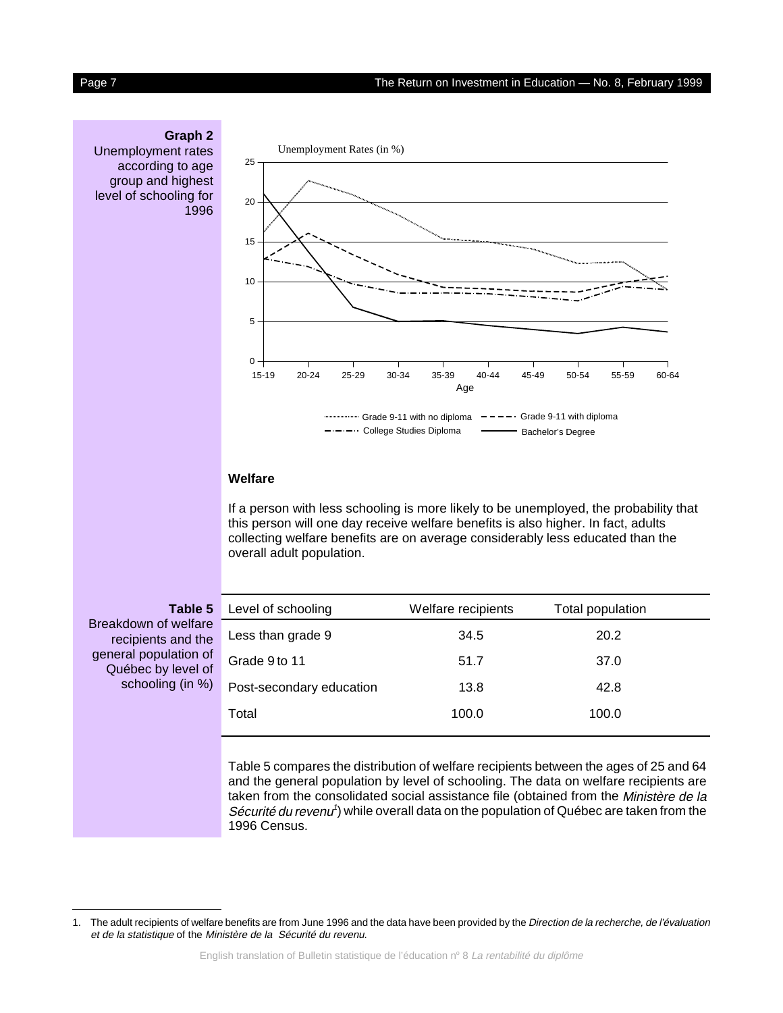## **Graph 2**

Unemployment rates according to age group and highest level of schooling for 1996



### **Welfare**

If a person with less schooling is more likely to be unemployed, the probability that this person will one day receive welfare benefits is also higher. In fact, adults collecting welfare benefits are on average considerably less educated than the overall adult population.

**Table 5** Breakdown of welfare recipients and the general population of Québec by level of schooling (in %)

| Level of schooling       | Welfare recipients | Total population |  |
|--------------------------|--------------------|------------------|--|
| Less than grade 9        | 34.5               | 20.2             |  |
| Grade 9 to 11            | 51.7               | 37.0             |  |
| Post-secondary education | 13.8               | 42.8             |  |
| Total                    | 100.0              | 100.0            |  |
|                          |                    |                  |  |

Table 5 compares the distribution of welfare recipients between the ages of 25 and 64 and the general population by level of schooling. The data on welfare recipients are taken from the consolidated social assistance file (obtained from the Ministère de la Sécurité du revenu<sup>1</sup>) while overall data on the population of Québec are taken from the 1996 Census.

<sup>1.</sup> The adult recipients of welfare benefits are from June 1996 and the data have been provided by the Direction de la recherche, de l'évaluation et de la statistique of the Ministère de la Sécurité du revenu.